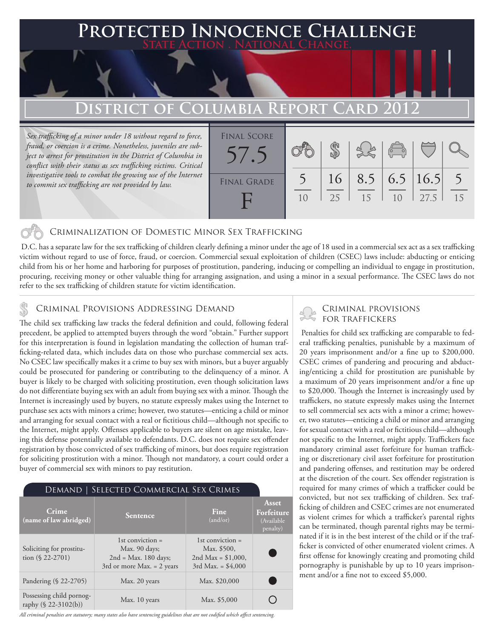### **PECTED INNOCENCE CHALLENGE State Action . National Change.**

# **DISTRICT OF COLUMBIA REPORT CARD 20**

*Sex trafficking of a minor under 18 without regard to force, fraud, or coercion is a crime. Nonetheless, juveniles are subject to arrest for prostitution in the District of Columbia in conflict with their status as sex trafficking victims. Critical*  investigative tools to combat the growing use of the Internet *to commit sex trafficking are not provided by law.*



### Criminalization of Domestic Minor Sex Trafficking

 D.C. has a separate law for the sex trafficking of children clearly defining a minor under the age of 18 used in a commercial sex act as a sex trafficking victim without regard to use of force, fraud, or coercion. Commercial sexual exploitation of children (CSEC) laws include: abducting or enticing child from his or her home and harboring for purposes of prostitution, pandering, inducing or compelling an individual to engage in prostitution, procuring, receiving money or other valuable thing for arranging assignation, and using a minor in a sexual performance. The CSEC laws do not refer to the sex trafficking of children statute for victim identification.

# CRIMINAL PROVISIONS ADDRESSING DEMAND<br>The child can trafficking law tracks the foderal definition and could following foderal SCRI TRAFFICKERS

The child sex trafficking law tracks the federal definition and could, following federal precedent, be applied to attempted buyers through the word "obtain." Further support for this interpretation is found in legislation mandating the collection of human trafficking-related data, which includes data on those who purchase commercial sex acts. No CSEC law specifically makes it a crime to buy sex with minors, but a buyer arguably could be prosecuted for pandering or contributing to the delinquency of a minor. A buyer is likely to be charged with soliciting prostitution, even though solicitation laws do not differentiate buying sex with an adult from buying sex with a minor. Though the Internet is increasingly used by buyers, no statute expressly makes using the Internet to purchase sex acts with minors a crime; however, two statutes—enticing a child or minor and arranging for sexual contact with a real or fictitious child—although not specific to the Internet, might apply. Offenses applicable to buyers are silent on age mistake, leaving this defense potentially available to defendants. D.C. does not require sex offender registration by those convicted of sex trafficking of minors, but does require registration for soliciting prostitution with a minor. Though not mandatory, a court could order a buyer of commercial sex with minors to pay restitution.

#### Demand | Selected Commercial Sex Crimes

| Crime<br>(name of law abridged)                  | <b>Sentence</b>                                                                               | Fine<br>(and/or)                                                                 | <b>Asset</b><br>Forfeiture<br>(Available<br>penalty) |
|--------------------------------------------------|-----------------------------------------------------------------------------------------------|----------------------------------------------------------------------------------|------------------------------------------------------|
| Soliciting for prostitu-<br>tion $(\$ 22-2701)$  | 1st conviction $=$<br>Max. 90 days;<br>$2nd = Max. 180 days;$<br>3rd or more Max. $= 2$ years | 1st conviction $=$<br>Max. \$500,<br>2nd Max = $$1,000$ ,<br>3rd Max. = $$4,000$ |                                                      |
| Pandering (§ 22-2705)                            | Max. 20 years                                                                                 | Max. \$20,000                                                                    |                                                      |
| Possessing child pornog-<br>raphy (§ 22-3102(b)) | Max. 10 years                                                                                 | Max. \$5,000                                                                     |                                                      |

*All criminal penalties are statutory; many states also have sentencing guidelines that are not codified which affect sentencing.* 

 Penalties for child sex trafficking are comparable to federal trafficking penalties, punishable by a maximum of 20 years imprisonment and/or a fine up to \$200,000. CSEC crimes of pandering and procuring and abducting/enticing a child for prostitution are punishable by a maximum of 20 years imprisonment and/or a fine up to \$20,000. Though the Internet is increasingly used by traffickers, no statute expressly makes using the Internet to sell commercial sex acts with a minor a crime; however, two statutes—enticing a child or minor and arranging for sexual contact with a real or fictitious child—although not specific to the Internet, might apply. Traffickers face mandatory criminal asset forfeiture for human trafficking or discretionary civil asset forfeiture for prostitution and pandering offenses, and restitution may be ordered at the discretion of the court. Sex offender registration is required for many crimes of which a trafficker could be convicted, but not sex trafficking of children. Sex trafficking of children and CSEC crimes are not enumerated as violent crimes for which a trafficker's parental rights can be terminated, though parental rights may be terminated if it is in the best interest of the child or if the trafficker is convicted of other enumerated violent crimes. A first offense for knowingly creating and promoting child pornography is punishable by up to 10 years imprisonment and/or a fine not to exceed \$5,000.